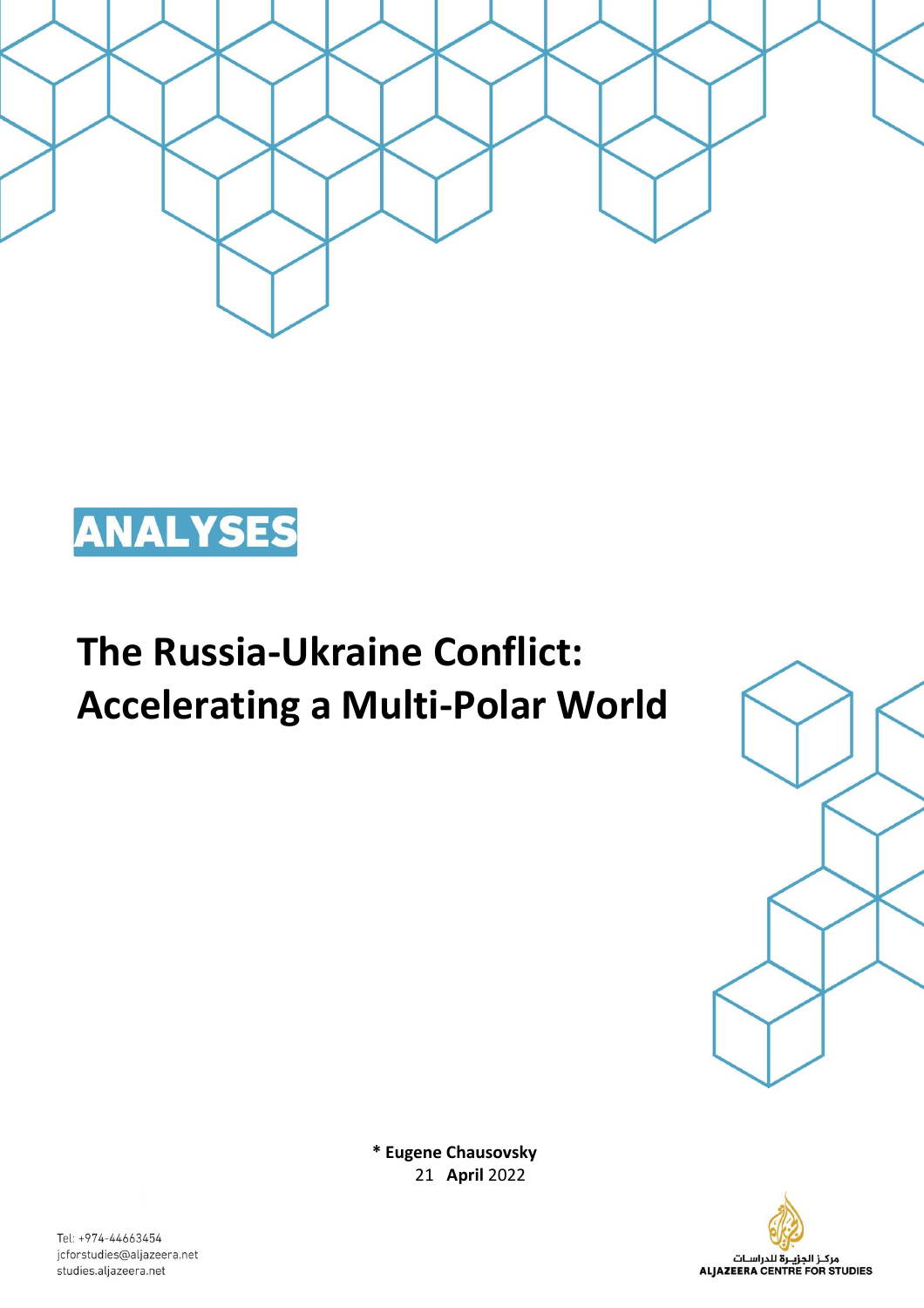



# **The Russia-Ukraine Conflict: Accelerating a Multi-Polar World**



 **\* Eugene Chausovsky** 21 **April** 2022



Tel: +974-44663454 jcforstudies@aljazeera.net studies.aljazeera.net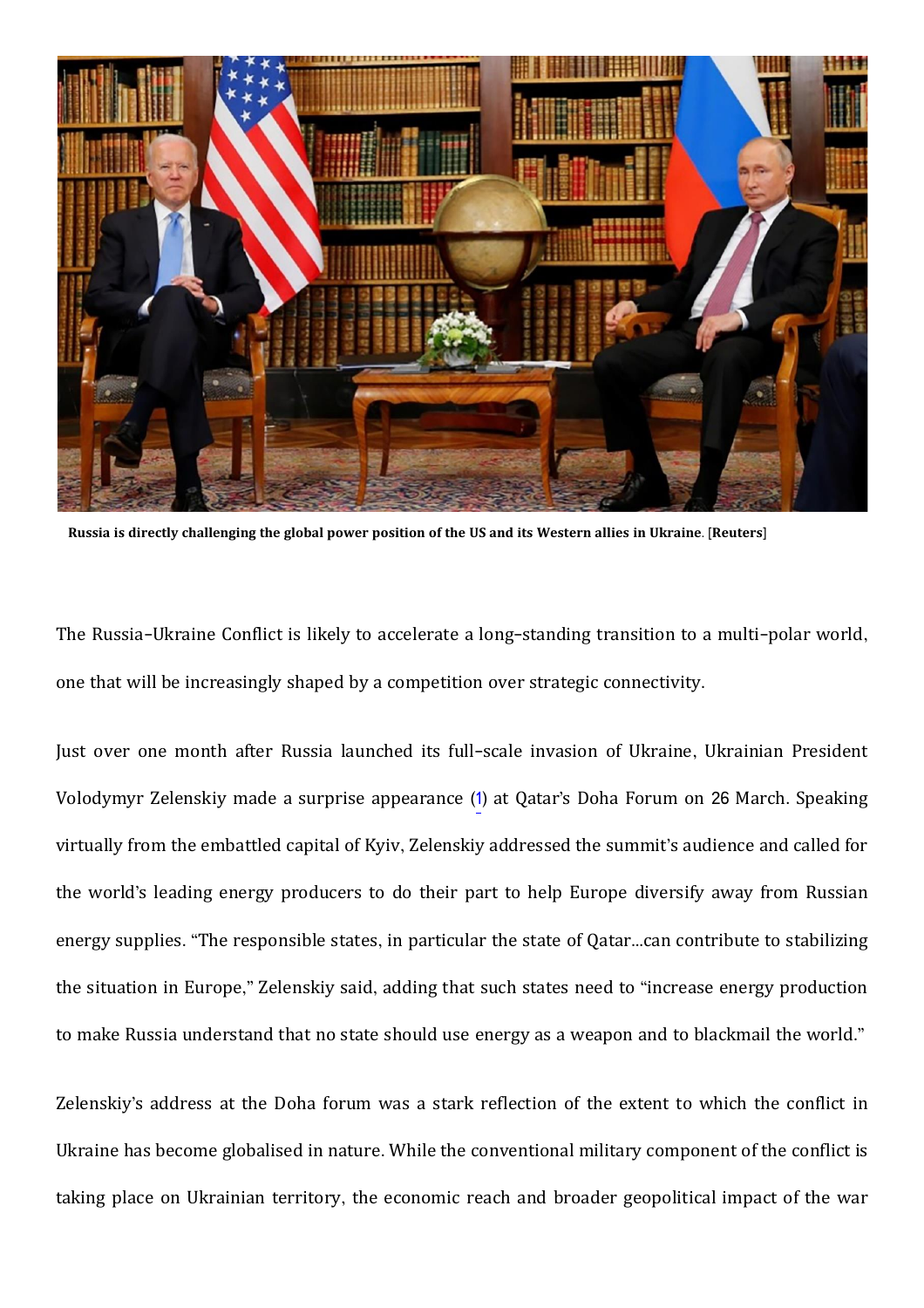

Russia is directly challenging the global power position of the US and its Western allies in Ukraine. [Reuters]

The Russia-Ukraine Conflict is likely to accelerate a long-standing transition to a multi-polar world, one that will be increasingly shaped by a competition over strategic connectivity.

Just over one month after Russia launched its full-scale invasion of Ukraine, Ukrainian President Volodymyr Zelenskiy made a surprise appearance [\(1\)](https://apnews.com/article/russia-ukraine-zelenskyy-business-religion-lifestyle-54988d459ef40b2f2680eab36709dd3e) at Qatar's Doha Forum on 26 March. Speaking virtually from the embattled capital of Kyiv, Zelenskiy addressed the summit's audience and called for the world's leading energy producers to do their part to help Europe diversify away from Russian energy supplies. "The responsible states, in particular the state of Qatar…can contribute to stabilizing the situation in Europe," Zelenskiy said, adding that such states need to "increase energy production to make Russia understand that no state should use energy as a weapon and to blackmail the world."

Zelenskiy's address at the Doha forum was a stark reflection of the extent to which the conflict in Ukraine has become globalised in nature. While the conventional military component of the conflict is taking place on Ukrainian territory, the economic reach and broader geopolitical impact of the war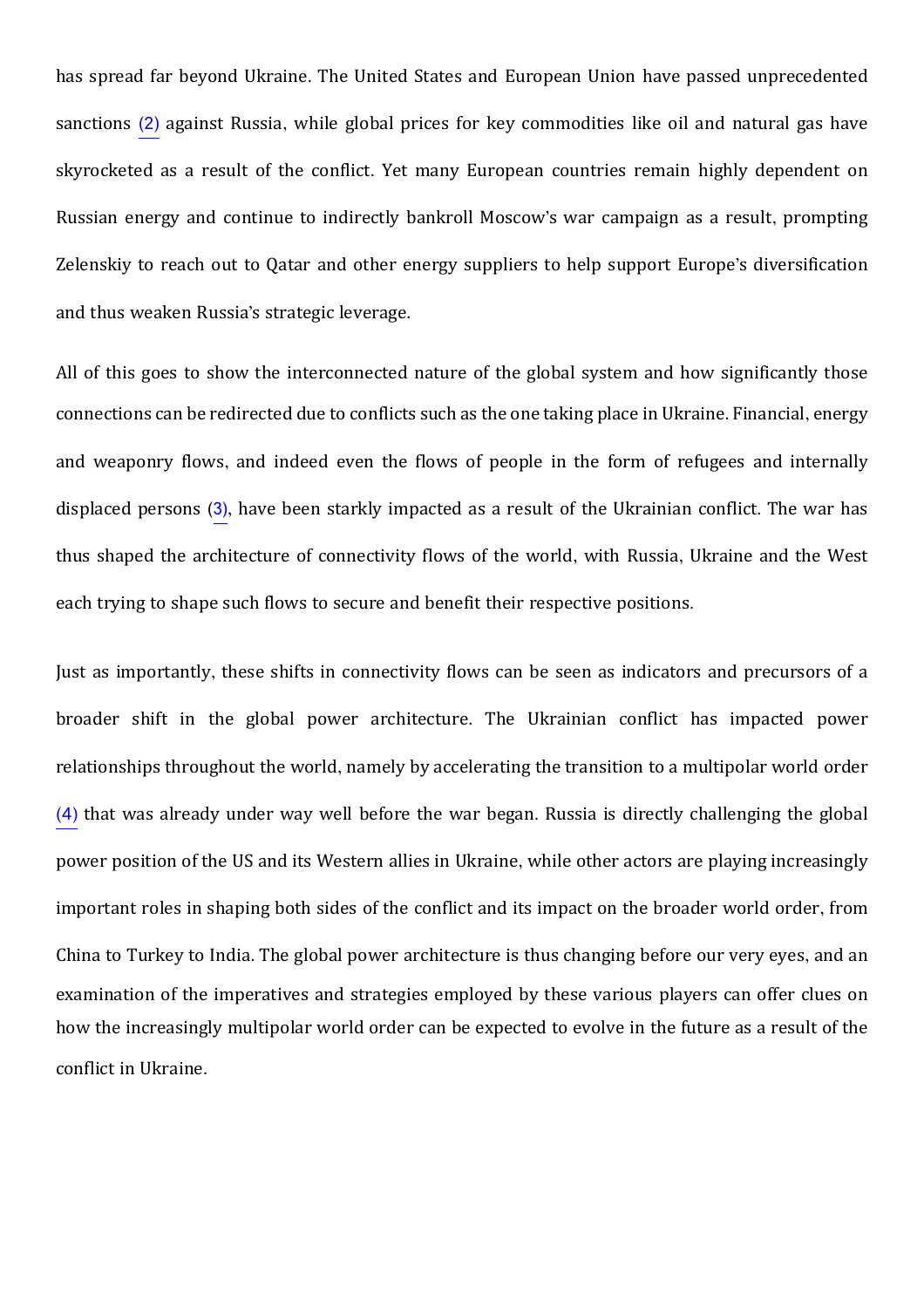has spread far beyond Ukraine. The United States and European Union have passed unprecedented sanctions [\(2\)](https://www.bloomberg.com/news/articles/2022-04-05/u-s-eu-to-announce-new-sanctions-on-russia-hitting-investments) against Russia, while global prices for key commodities like oil and natural gas have skyrocketed as a result of the conflict. Yet many European countries remain highly dependent on Russian energy and continue to indirectly bankroll Moscow's war campaign as a result, prompting Zelenskiy to reach out to Qatar and other energy suppliers to help support Europe's diversification and thus weaken Russia's strategic leverage.

All of this goes to show the interconnected nature of the global system and how significantly those connections can be redirected due to conflicts such as the one taking place in Ukraine. Financial, energy and weaponry flows, and indeed even the flows of people in the form of refugees and internally displaced persons [\(3\),](https://www.unhcr.org/news/briefing/2022/3/623da5894/month-since-start-war-quarter-ukraines-population-displaced.html) have been starkly impacted as a result of the Ukrainian conflict. The war has thus shaped the architecture of connectivity flows of the world, with Russia, Ukraine and the West each trying to shape such flows to secure and benefit their respective positions.

Just as importantly, these shifts in connectivity flows can be seen as indicators and precursors of a broader shift in the global power architecture. The Ukrainian conflict has impacted power relationships throughout the world, namely by accelerating the transition to a multipolar world order [\(4\)](https://www.china-briefing.com/news/china-russia-stand-firm-in-new-fair-multipolar-world-order/) that was already under way well before the war began. Russia is directly challenging the global power position of the US and its Western allies in Ukraine, while other actors are playing increasingly important roles in shaping both sides of the conflict and its impact on the broader world order, from China to Turkey to India. The global power architecture is thus changing before our very eyes, and an examination of the imperatives and strategies employed by these various players can offer clues on how the increasingly multipolar world order can be expected to evolve in the future as a result of the conflict in Ukraine.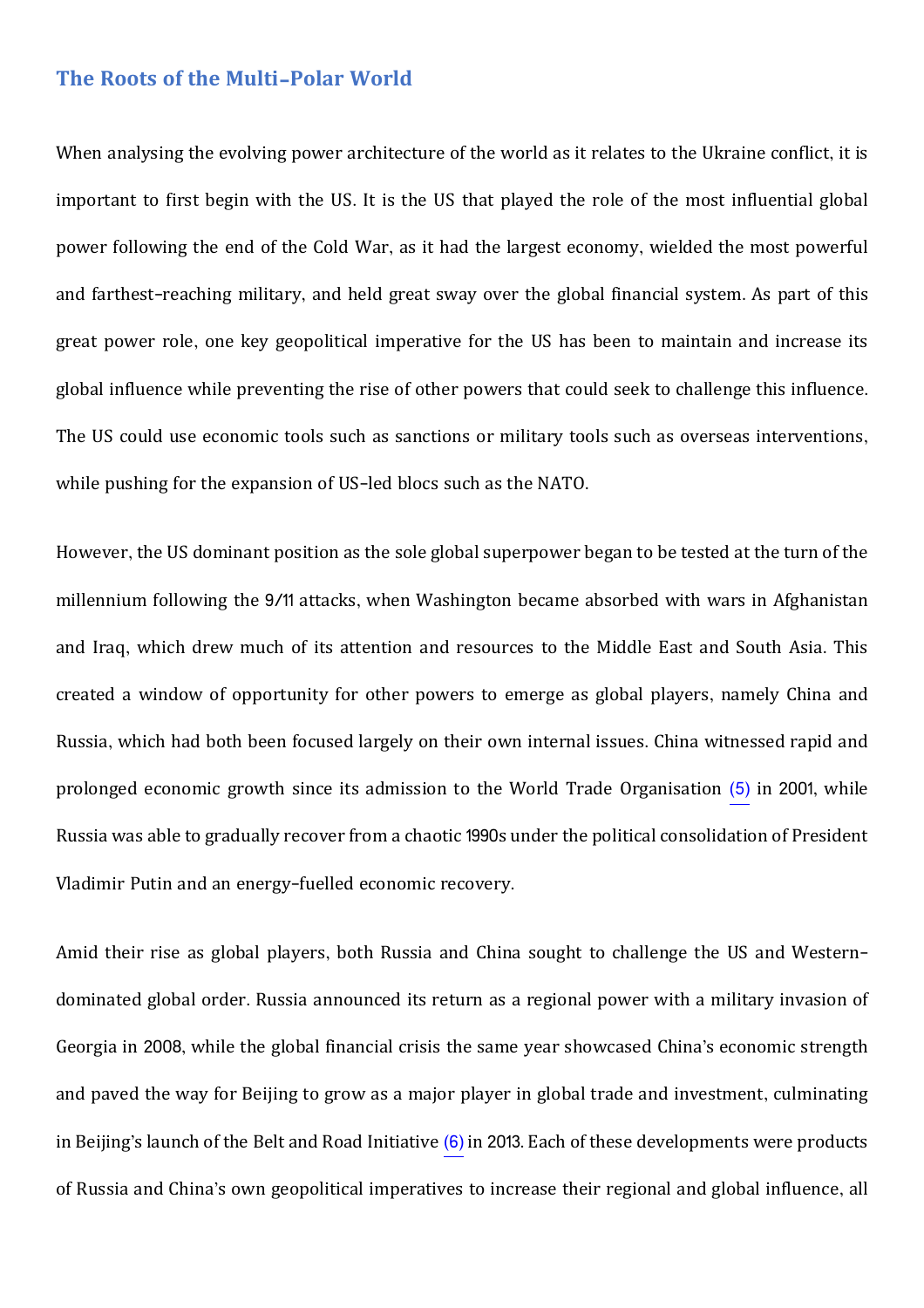### **The Roots of the Multi-Polar World**

When analysing the evolving power architecture of the world as it relates to the Ukraine conflict, it is important to first begin with the US. It is the US that played the role of the most influential global power following the end of the Cold War, as it had the largest economy, wielded the most powerful and farthest-reaching military, and held great sway over the global financial system. As part of this great power role, one key geopolitical imperative for the US has been to maintain and increase its global influence while preventing the rise of other powers that could seek to challenge this influence. The US could use economic tools such as sanctions or military tools such as overseas interventions, while pushing for the expansion of US-led blocs such as the NATO.

However, the US dominant position as the sole global superpower began to be tested at the turn of the millennium following the 9/11 attacks, when Washington became absorbed with wars in Afghanistan and Iraq, which drew much of its attention and resources to the Middle East and South Asia. This created a window of opportunity for other powers to emerge as global players, namely China and Russia, which had both been focused largely on their own internal issues. China witnessed rapid and prolonged economic growth since its admission to the World Trade Organisation [\(5\)](https://www.bloomberg.com/news/articles/2021-12-04/-china-shock-still-shakes-world-grappling-with-trade-s-future) in 2001, while Russia was able to gradually recover from a chaotic 1990s under the political consolidation of President Vladimir Putin and an energy-fuelled economic recovery.

Amid their rise as global players, both Russia and China sought to challenge the US and Westerndominated global order. Russia announced its return as a regional power with a military invasion of Georgia in 2008, while the global financial crisis the same year showcased China's economic strength and paved the way for Beijing to grow as a major player in global trade and investment, culminating in Beijing's launch of the Belt and Road Initiative [\(6\)](https://thediplomat.com/2022/03/what-will-russias-invasion-of-ukraine-mean-for-chinas-belt-and-road/) in 2013. Each of these developments were products of Russia and China's own geopolitical imperatives to increase their regional and global influence, all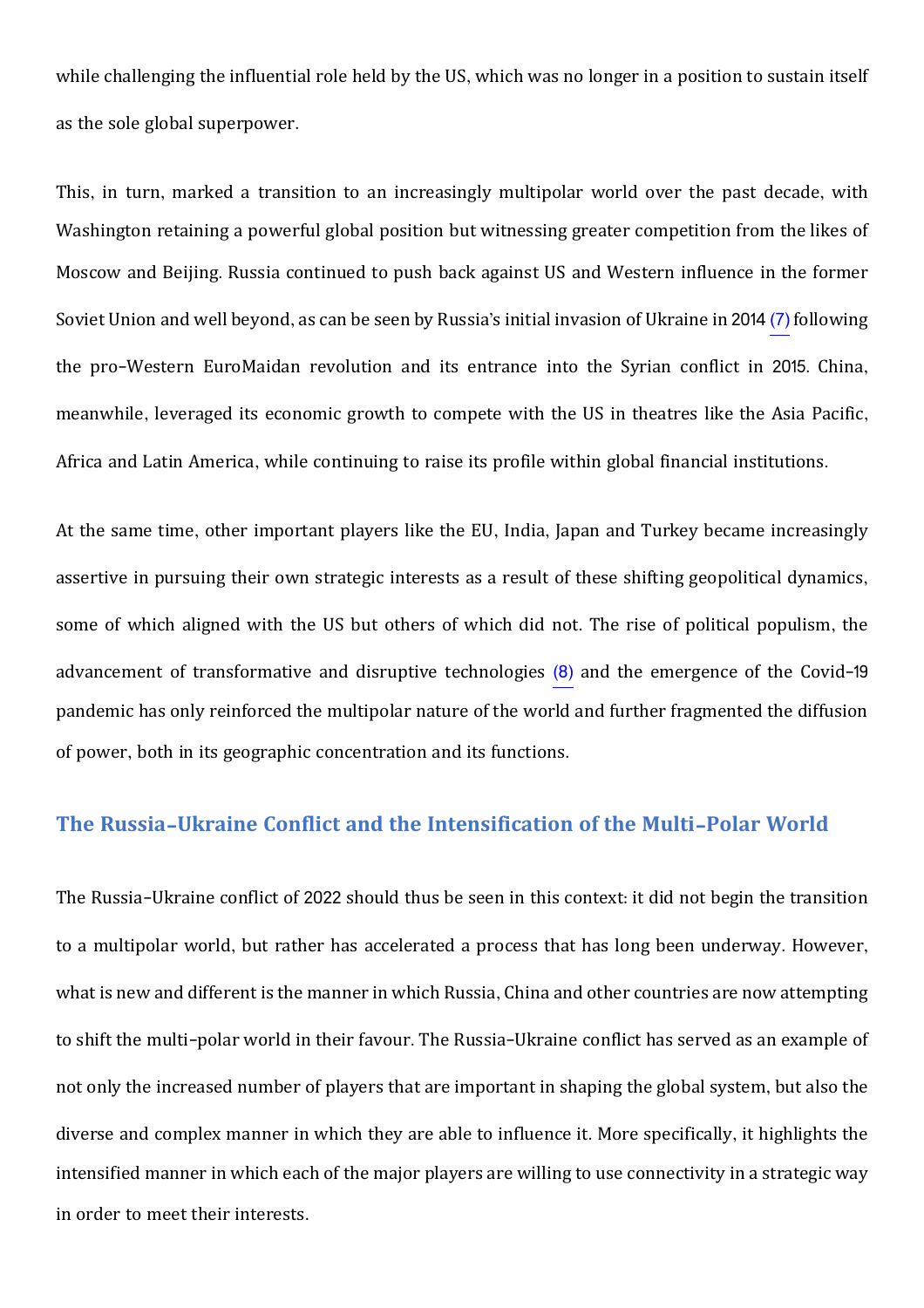while challenging the influential role held by the US, which was no longer in a position to sustain itself as the sole global superpower.

This, in turn, marked a transition to an increasingly multipolar world over the past decade, with Washington retaining a powerful global position but witnessing greater competition from the likes of Moscow and Beijing. Russia continued to push back against US and Western influence in the former Soviet Union and well beyond, as can be seen by Russia's initial invasion of Ukraine in 201[4 \(7\)](https://nationalinterest.org/blog/buzz/seven-years-after-reflections-russia%E2%80%99s-annexation-crimea%C2%A0%C2%A0-179823) following the pro-Western EuroMaidan revolution and its entrance into the Syrian conflict in 2015. China, meanwhile, leveraged its economic growth to compete with the US in theatres like the Asia Pacific, Africa and Latin America, while continuing to raise its profile within global financial institutions.

At the same time, other important players like the EU, India, Japan and Turkey became increasingly assertive in pursuing their own strategic interests as a result of these shifting geopolitical dynamics, some of which aligned with the US but others of which did not. The rise of political populism, the advancement of transformative and disruptive technologies  $(8)$  and the emergence of the Covid-19 pandemic has only reinforced the multipolar nature of the world and further fragmented the diffusion of power, both in its geographic concentration and its functions.

#### **The Russia-Ukraine Conflict and the Intensification of the Multi-Polar World**

The Russia-Ukraine conflict of 2022 should thus be seen in this context: it did not begin the transition to a multipolar world, but rather has accelerated a process that has long been underway. However, what is new and different is the manner in which Russia, China and other countries are now attempting to shift the multi-polar world in their favour. The Russia-Ukraine conflict has served as an example of not only the increased number of players that are important in shaping the global system, but also the diverse and complex manner in which they are able to influence it. More specifically, it highlights the intensified manner in which each of the major players are willing to use connectivity in a strategic way in order to meet their interests.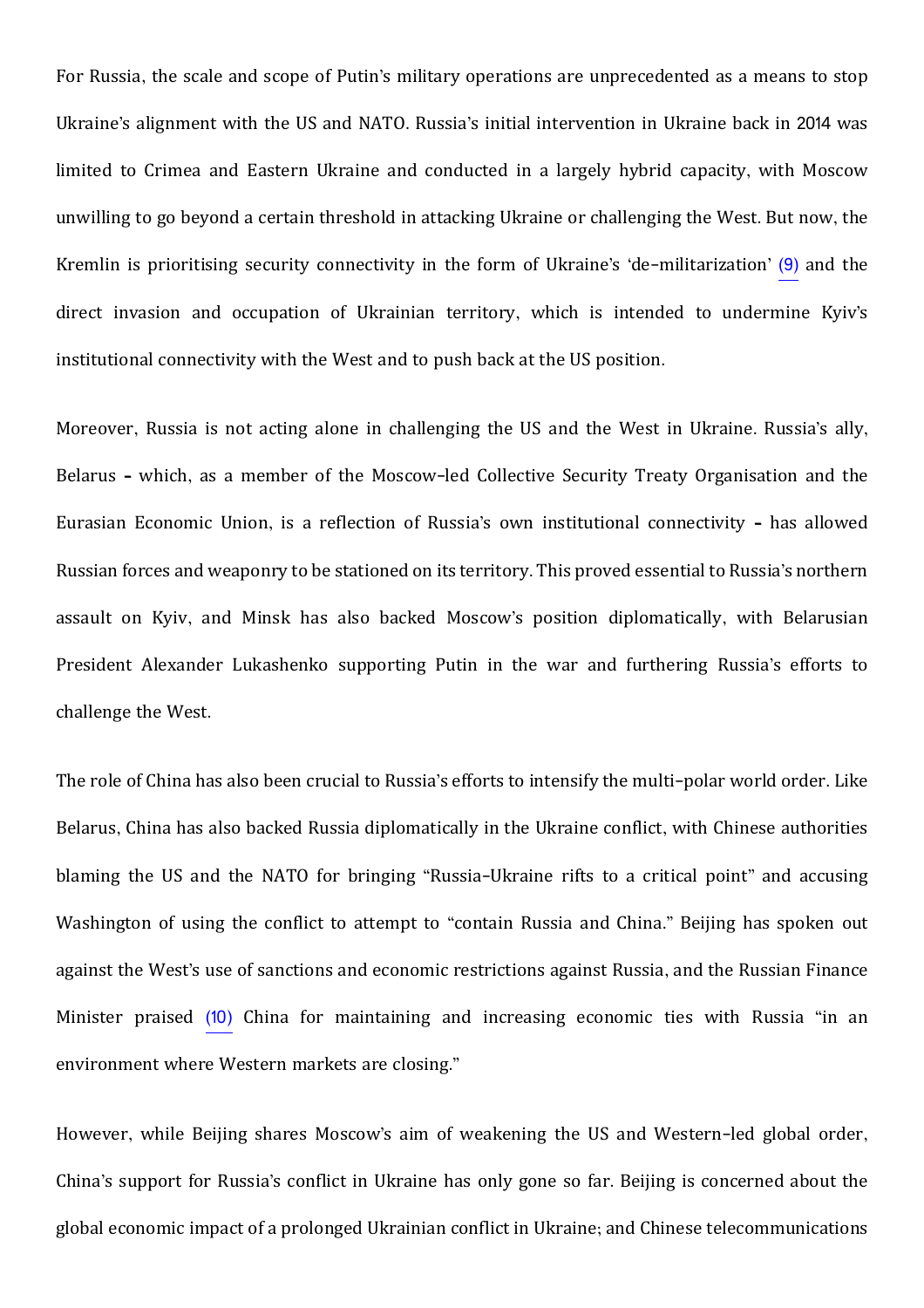For Russia, the scale and scope of Putin's military operations are unprecedented as a means to stop Ukraine's alignment with the US and NATO. Russia's initial intervention in Ukraine back in 2014 was limited to Crimea and Eastern Ukraine and conducted in a largely hybrid capacity, with Moscow unwilling to go beyond a certain threshold in attacking Ukraine or challenging the West. But now, the Kremlin is prioritising security connectivity in the form of Ukraine's 'de-militarization' [\(9\)](https://theprint.in/world/russia-hopes-kyiv-will-realize-inevitability-of-demilitarization-foreign-ministry/877642/) and the direct invasion and occupation of Ukrainian territory, which is intended to undermine Kyiv's institutional connectivity with the West and to push back at the US position.

Moreover, Russia is not acting alone in challenging the US and the West in Ukraine. Russia's ally, Belarus – which, as a member of the Moscow-led Collective Security Treaty Organisation and the Eurasian Economic Union, is a reflection of Russia's own institutional connectivity – has allowed Russian forces and weaponry to be stationed on its territory. This proved essential to Russia's northern assault on Kyiv, and Minsk has also backed Moscow's position diplomatically, with Belarusian President Alexander Lukashenko supporting Putin in the war and furthering Russia's efforts to challenge the West.

The role of China has also been crucial to Russia's efforts to intensify the multi-polar world order. Like Belarus, China has also backed Russia diplomatically in the Ukraine conflict, with Chinese authorities blaming the US and the NATO for bringing "Russia-Ukraine rifts to a critical point" and accusing Washington of using the conflict to attempt to "contain Russia and China." Beijing has spoken out against the West's use of sanctions and economic restrictions against Russia, and the Russian Finance Minister praised [\(10\)](https://www.cnbc.com/2022/03/16/how-much-can-and-will-china-help-russia-as-its-economy-crumbles.html) China for maintaining and increasing economic ties with Russia "in an environment where Western markets are closing."

However, while Beijing shares Moscow's aim of weakening the US and Western-led global order, China's support for Russia's conflict in Ukraine has only gone so far. Beijing is concerned about the global economic impact of a prolonged Ukrainian conflict in Ukraine; and Chinese telecommunications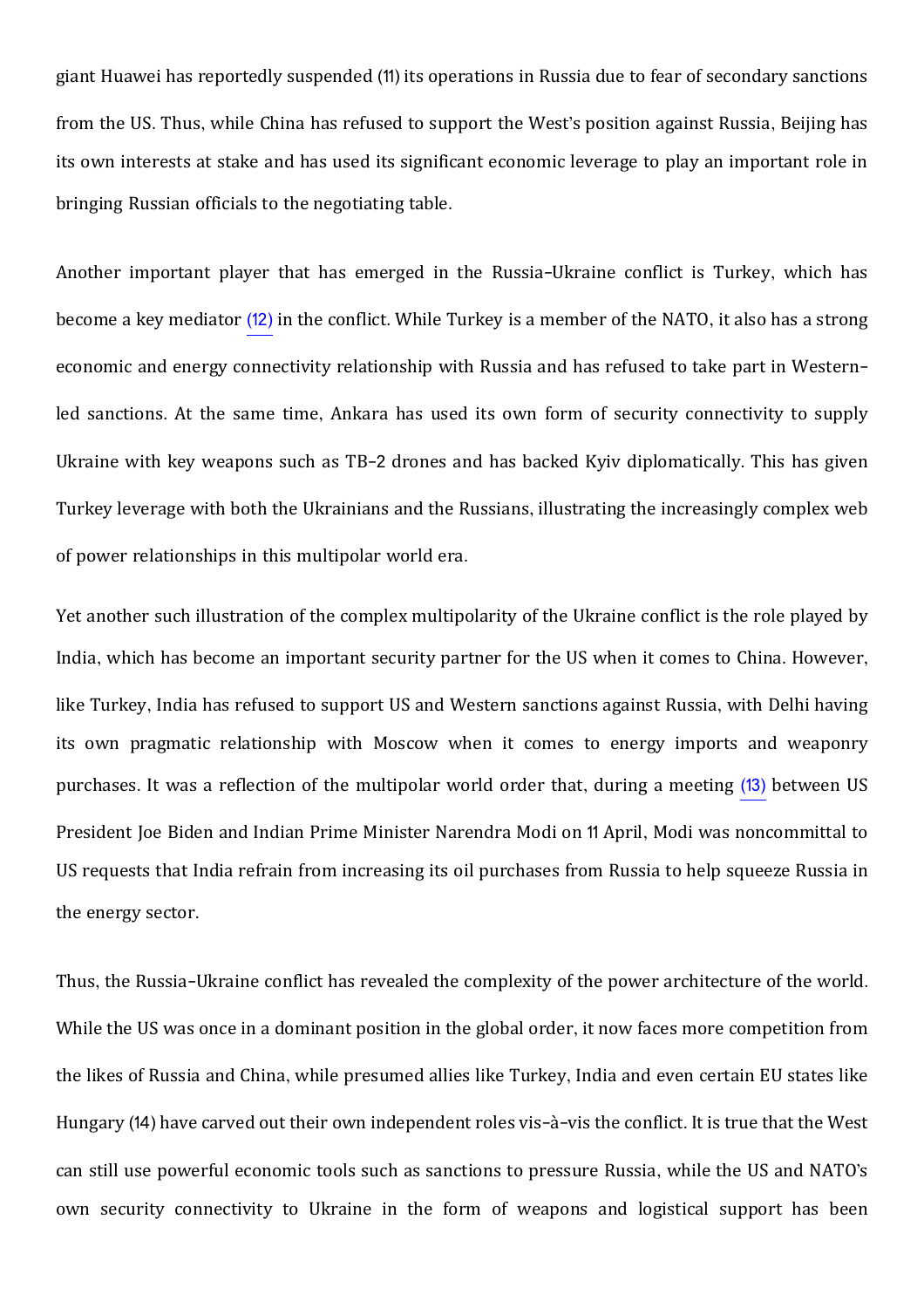giant Huawei has reportedly suspended (11) its operations in Russia due to fear of secondary sanctions from the US. Thus, while China has refused to support the West's position against Russia, Beijing has its own interests at stake and has used its significant economic leverage to play an important role in bringing Russian officials to the negotiating table.

Another important player that has emerged in the Russia-Ukraine conflict is Turkey, which has become a key mediator [\(12\)](https://www.reuters.com/world/middle-east/turkey-urges-more-ukraine-ceasefire-efforts-continue-mediation-2022-03-24/) in the conflict. While Turkey is a member of the NATO, it also has a strong economic and energy connectivity relationship with Russia and has refused to take part in Westernled sanctions. At the same time, Ankara has used its own form of security connectivity to supply Ukraine with key weapons such as TB-2 drones and has backed Kyiv diplomatically. This has given Turkey leverage with both the Ukrainians and the Russians, illustrating the increasingly complex web of power relationships in this multipolar world era.

Yet another such illustration of the complex multipolarity of the Ukraine conflict is the role played by India, which has become an important security partner for the US when it comes to China. However, like Turkey, India has refused to support US and Western sanctions against Russia, with Delhi having its own pragmatic relationship with Moscow when it comes to energy imports and weaponry purchases. It was a reflection of the multipolar world order that, during a meeting [\(13\)](https://www.reuters.com/world/indian-pm-modi-suggests-direct-talks-between-putin-zelenskiy-2022-04-11/) between US President Joe Biden and Indian Prime Minister Narendra Modi on 11 April, Modi was noncommittal to US requests that India refrain from increasing its oil purchases from Russia to help squeeze Russia in the energy sector.

Thus, the Russia-Ukraine conflict has revealed the complexity of the power architecture of the world. While the US was once in a dominant position in the global order, it now faces more competition from the likes of Russia and China, while presumed allies like Turkey, India and even certain EU states like Hungary (14) have carved out their own independent roles vis-à-vis the conflict. It is true that the West can still use powerful economic tools such as sanctions to pressure Russia, while the US and NATO's own security connectivity to Ukraine in the form of weapons and logistical support has been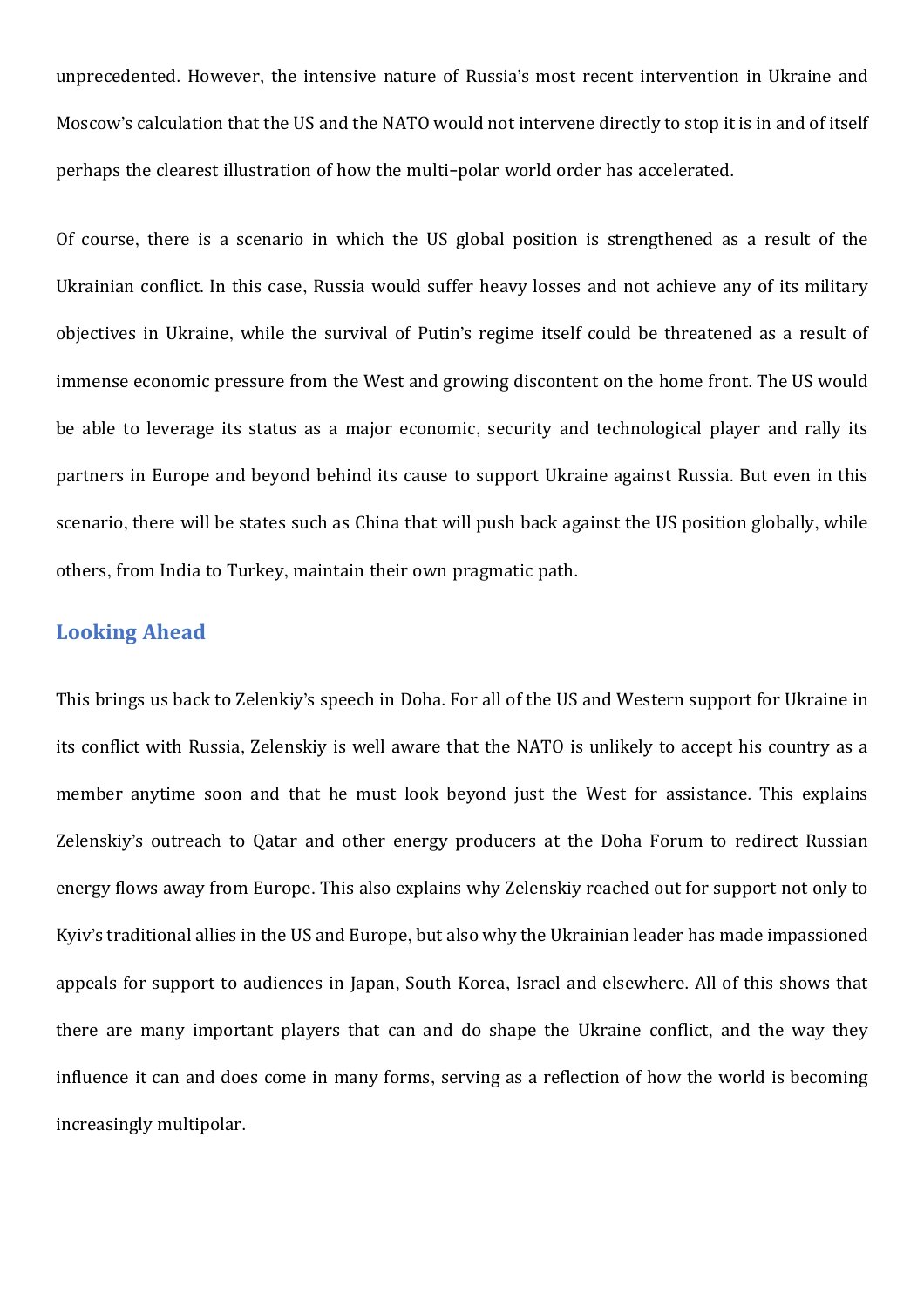unprecedented. However, the intensive nature of Russia's most recent intervention in Ukraine and Moscow's calculation that the US and the NATO would not intervene directly to stop it is in and of itself perhaps the clearest illustration of how the multi-polar world order has accelerated.

Of course, there is a scenario in which the US global position is strengthened as a result of the Ukrainian conflict. In this case, Russia would suffer heavy losses and not achieve any of its military objectives in Ukraine, while the survival of Putin's regime itself could be threatened as a result of immense economic pressure from the West and growing discontent on the home front. The US would be able to leverage its status as a major economic, security and technological player and rally its partners in Europe and beyond behind its cause to support Ukraine against Russia. But even in this scenario, there will be states such as China that will push back against the US position globally, while others, from India to Turkey, maintain their own pragmatic path.

## **Looking Ahead**

This brings us back to Zelenkiy's speech in Doha. For all of the US and Western support for Ukraine in its conflict with Russia, Zelenskiy is well aware that the NATO is unlikely to accept his country as a member anytime soon and that he must look beyond just the West for assistance. This explains Zelenskiy's outreach to Qatar and other energy producers at the Doha Forum to redirect Russian energy flows away from Europe. This also explains why Zelenskiy reached out for support not only to Kyiv's traditional allies in the US and Europe, but also why the Ukrainian leader has made impassioned appeals for support to audiences in Japan, South Korea, Israel and elsewhere. All of this shows that there are many important players that can and do shape the Ukraine conflict, and the way they influence it can and does come in many forms, serving as a reflection of how the world is becoming increasingly multipolar.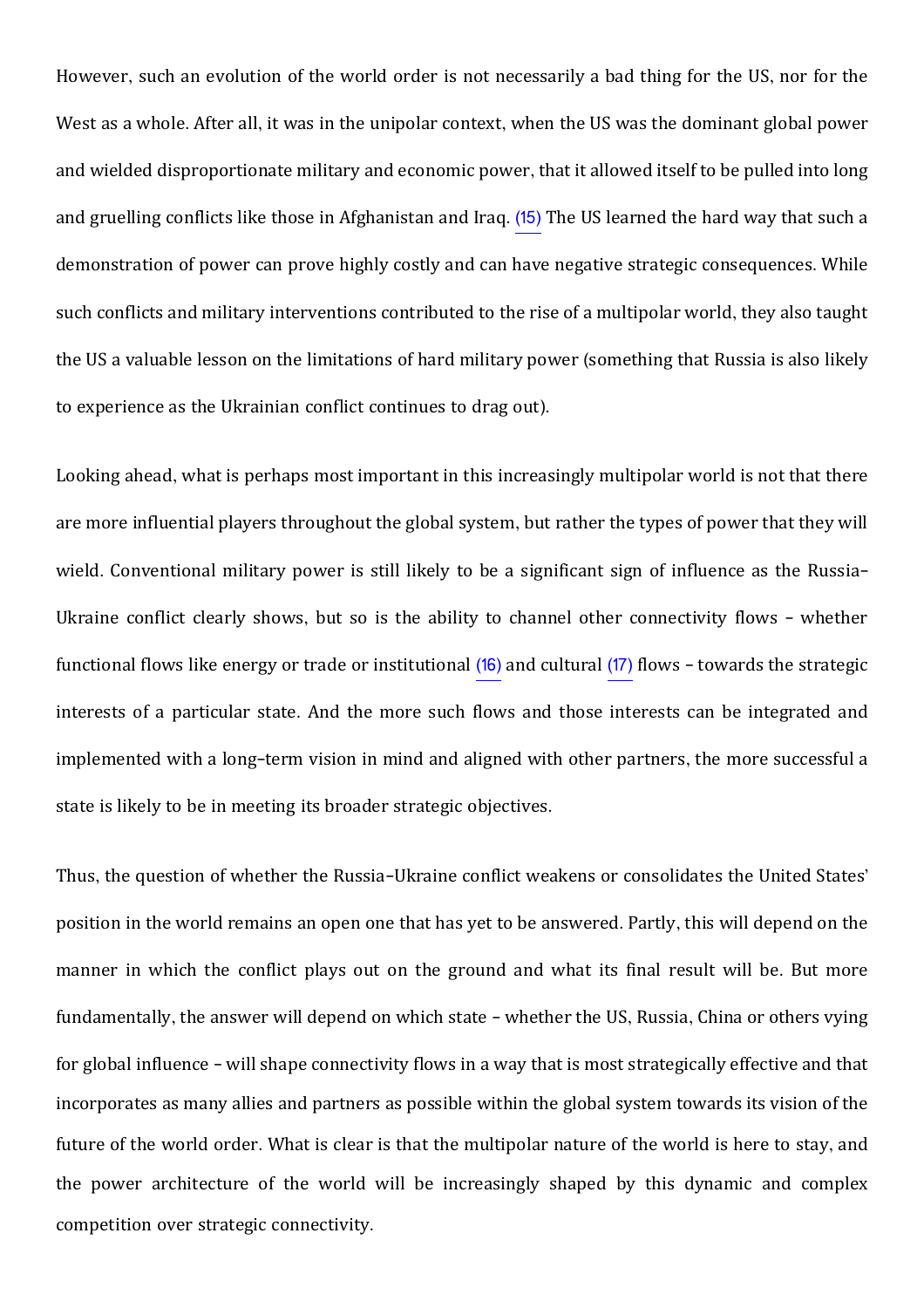However, such an evolution of the world order is not necessarily a bad thing for the US, nor for the West as a whole. After all, it was in the unipolar context, when the US was the dominant global power and wielded disproportionate military and economic power, that it allowed itself to be pulled into long and gruelling conflicts like those in Afghanistan and Iraq. [\(15\)](https://quincyinst.org/report/ending-primacy-to-end-u-s-wars/) The US learned the hard way that such a demonstration of power can prove highly costly and can have negative strategic consequences. While such conflicts and military interventions contributed to the rise of a multipolar world, they also taught the US a valuable lesson on the limitations of hard military power (something that Russia is also likely to experience as the Ukrainian conflict continues to drag out).

Looking ahead, what is perhaps most important in this increasingly multipolar world is not that there are more influential players throughout the global system, but rather the types of power that they will wield. Conventional military power is still likely to be a significant sign of influence as the Russia-Ukraine conflict clearly shows, but so is the ability to channel other connectivity flows - whether functional flows like energy or trade or institutional [\(16\)](https://blogs.lse.ac.uk/europpblog/2022/04/05/russias-invasion-of-ukraine-a-turning-point-for-european-integration/) and cultural [\(17\)](https://www.nytimes.com/2022/04/08/opinion/globalization-global-culture-war.html) flows - towards the strategic interests of a particular state. And the more such flows and those interests can be integrated and implemented with a long-term vision in mind and aligned with other partners, the more successful a state is likely to be in meeting its broader strategic objectives.

Thus, the question of whether the Russia-Ukraine conflict weakens or consolidates the United States' position in the world remains an open one that has yet to be answered. Partly, this will depend on the manner in which the conflict plays out on the ground and what its final result will be. But more fundamentally, the answer will depend on which state - whether the US, Russia, China or others vying for global influence - will shape connectivity flows in a way that is most strategically effective and that incorporates as many allies and partners as possible within the global system towards its vision of the future of the world order. What is clear is that the multipolar nature of the world is here to stay, and the power architecture of the world will be increasingly shaped by this dynamic and complex competition over strategic connectivity.